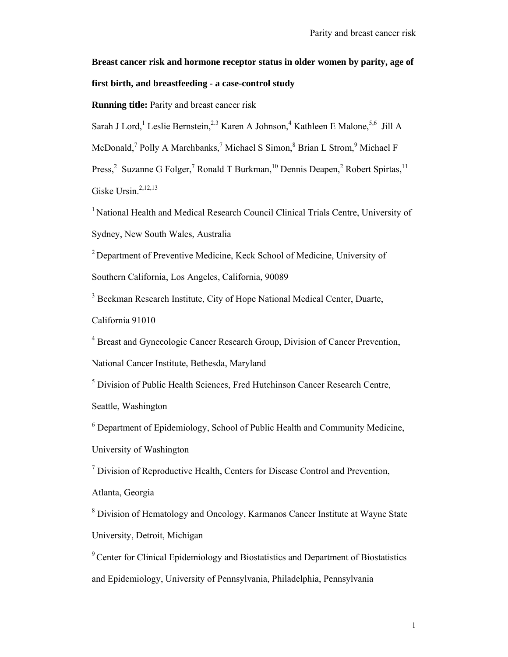**Breast cancer risk and hormone receptor status in older women by parity, age of first birth, and breastfeeding - a case-control study** 

**Running title:** Parity and breast cancer risk

Sarah J Lord,<sup>1</sup> Leslie Bernstein,<sup>2,3</sup> Karen A Johnson,<sup>4</sup> Kathleen E Malone,<sup>5,6</sup> Jill A

McDonald,<sup>7</sup> Polly A Marchbanks,<sup>7</sup> Michael S Simon,<sup>8</sup> Brian L Strom,<sup>9</sup> Michael F

Press,<sup>2</sup> Suzanne G Folger,<sup>7</sup> Ronald T Burkman,<sup>10</sup> Dennis Deapen,<sup>2</sup> Robert Spirtas,<sup>11</sup> Giske Ursin. $2,12,13$ 

<sup>1</sup> National Health and Medical Research Council Clinical Trials Centre, University of Sydney, New South Wales, Australia

2 Department of Preventive Medicine, Keck School of Medicine, University of Southern California, Los Angeles, California, 90089

<sup>3</sup> Beckman Research Institute, City of Hope National Medical Center, Duarte, California 91010

<sup>4</sup> Breast and Gynecologic Cancer Research Group, Division of Cancer Prevention,

National Cancer Institute, Bethesda, Maryland

<sup>5</sup> Division of Public Health Sciences, Fred Hutchinson Cancer Research Centre,

Seattle, Washington

<sup>6</sup> Department of Epidemiology, School of Public Health and Community Medicine,

University of Washington

 $<sup>7</sup>$  Division of Reproductive Health, Centers for Disease Control and Prevention,</sup>

Atlanta, Georgia

<sup>8</sup> Division of Hematology and Oncology, Karmanos Cancer Institute at Wayne State University, Detroit, Michigan

<sup>9</sup> Center for Clinical Epidemiology and Biostatistics and Department of Biostatistics and Epidemiology, University of Pennsylvania, Philadelphia, Pennsylvania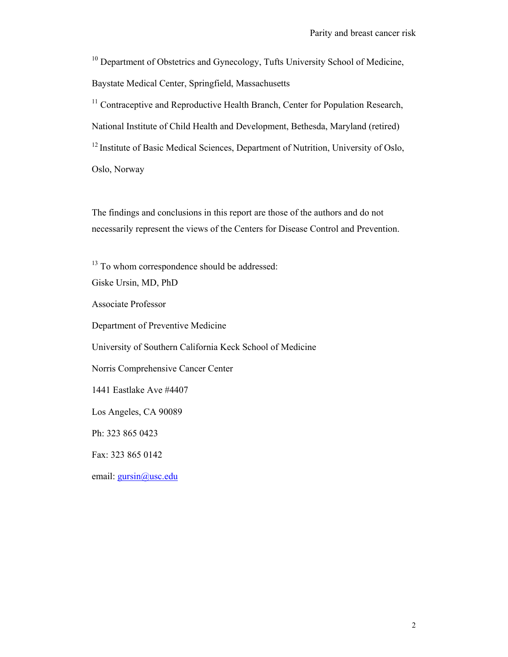<sup>10</sup> Department of Obstetrics and Gynecology, Tufts University School of Medicine, Baystate Medical Center, Springfield, Massachusetts

<sup>11</sup> Contraceptive and Reproductive Health Branch, Center for Population Research, National Institute of Child Health and Development, Bethesda, Maryland (retired) <sup>12</sup> Institute of Basic Medical Sciences, Department of Nutrition, University of Oslo, Oslo, Norway

The findings and conclusions in this report are those of the authors and do not necessarily represent the views of the Centers for Disease Control and Prevention.

<sup>13</sup> To whom correspondence should be addressed:

Giske Ursin, MD, PhD

Associate Professor

Department of Preventive Medicine

University of Southern California Keck School of Medicine

Norris Comprehensive Cancer Center

1441 Eastlake Ave #4407

Los Angeles, CA 90089

Ph: 323 865 0423

Fax: 323 865 0142

email: gursin@usc.edu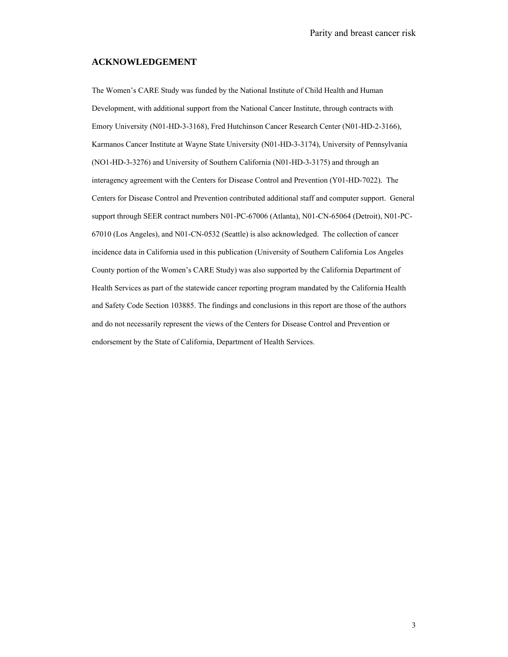### **ACKNOWLEDGEMENT**

The Women's CARE Study was funded by the National Institute of Child Health and Human Development, with additional support from the National Cancer Institute, through contracts with Emory University (N01-HD-3-3168), Fred Hutchinson Cancer Research Center (N01-HD-2-3166), Karmanos Cancer Institute at Wayne State University (N01-HD-3-3174), University of Pennsylvania (NO1-HD-3-3276) and University of Southern California (N01-HD-3-3175) and through an interagency agreement with the Centers for Disease Control and Prevention (Y01-HD-7022). The Centers for Disease Control and Prevention contributed additional staff and computer support. General support through SEER contract numbers N01-PC-67006 (Atlanta), N01-CN-65064 (Detroit), N01-PC-67010 (Los Angeles), and N01-CN-0532 (Seattle) is also acknowledged. The collection of cancer incidence data in California used in this publication (University of Southern California Los Angeles County portion of the Women's CARE Study) was also supported by the California Department of Health Services as part of the statewide cancer reporting program mandated by the California Health and Safety Code Section 103885. The findings and conclusions in this report are those of the authors and do not necessarily represent the views of the Centers for Disease Control and Prevention or endorsement by the State of California, Department of Health Services.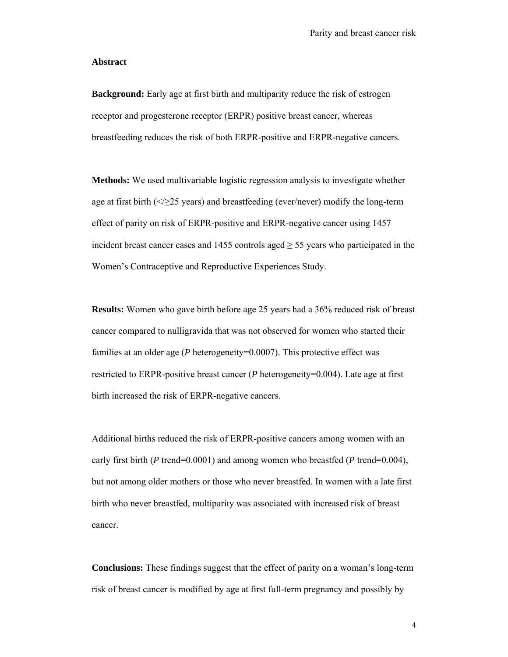### **Abstract**

**Background:** Early age at first birth and multiparity reduce the risk of estrogen receptor and progesterone receptor (ERPR) positive breast cancer, whereas breastfeeding reduces the risk of both ERPR-positive and ERPR-negative cancers.

**Methods:** We used multivariable logistic regression analysis to investigate whether age at first birth  $\left\langle \frac{\langle \rangle}{25} \right\rangle$  years) and breastfeeding (ever/never) modify the long-term effect of parity on risk of ERPR-positive and ERPR-negative cancer using 1457 incident breast cancer cases and 1455 controls aged  $\geq$  55 years who participated in the Women's Contraceptive and Reproductive Experiences Study.

**Results:** Women who gave birth before age 25 years had a 36% reduced risk of breast cancer compared to nulligravida that was not observed for women who started their families at an older age (*P* heterogeneity=0.0007). This protective effect was restricted to ERPR-positive breast cancer (*P* heterogeneity=0.004). Late age at first birth increased the risk of ERPR-negative cancers.

Additional births reduced the risk of ERPR-positive cancers among women with an early first birth (*P* trend=0.0001) and among women who breastfed (*P* trend=0.004), but not among older mothers or those who never breastfed. In women with a late first birth who never breastfed, multiparity was associated with increased risk of breast cancer.

**Conclusions:** These findings suggest that the effect of parity on a woman's long-term risk of breast cancer is modified by age at first full-term pregnancy and possibly by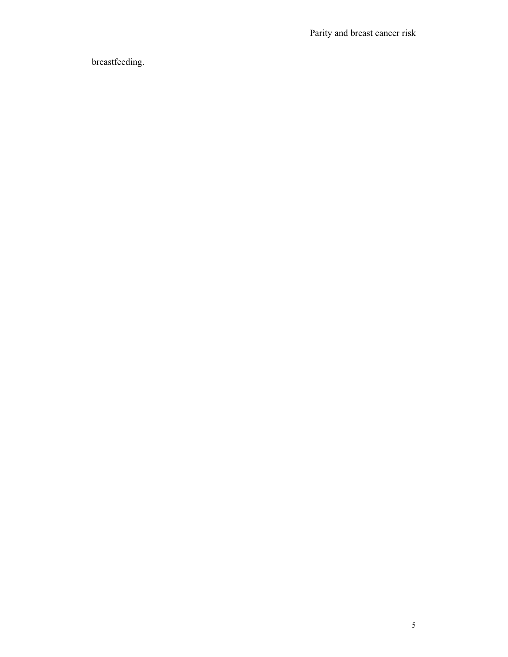Parity and breast cancer risk

breastfeeding.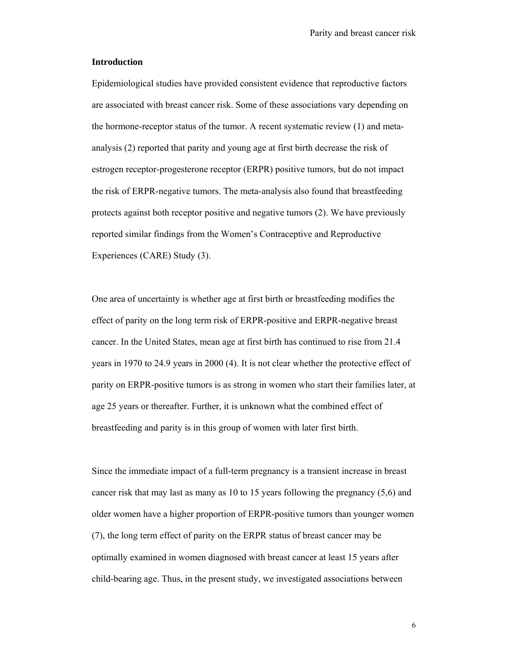### **Introduction**

Epidemiological studies have provided consistent evidence that reproductive factors are associated with breast cancer risk. Some of these associations vary depending on the hormone-receptor status of the tumor. A recent systematic review (1) and metaanalysis (2) reported that parity and young age at first birth decrease the risk of estrogen receptor-progesterone receptor (ERPR) positive tumors, but do not impact the risk of ERPR-negative tumors. The meta-analysis also found that breastfeeding protects against both receptor positive and negative tumors (2). We have previously reported similar findings from the Women's Contraceptive and Reproductive Experiences (CARE) Study (3).

One area of uncertainty is whether age at first birth or breastfeeding modifies the effect of parity on the long term risk of ERPR-positive and ERPR-negative breast cancer. In the United States, mean age at first birth has continued to rise from 21.4 years in 1970 to 24.9 years in 2000 (4). It is not clear whether the protective effect of parity on ERPR-positive tumors is as strong in women who start their families later, at age 25 years or thereafter. Further, it is unknown what the combined effect of breastfeeding and parity is in this group of women with later first birth.

Since the immediate impact of a full-term pregnancy is a transient increase in breast cancer risk that may last as many as 10 to 15 years following the pregnancy (5,6) and older women have a higher proportion of ERPR-positive tumors than younger women (7), the long term effect of parity on the ERPR status of breast cancer may be optimally examined in women diagnosed with breast cancer at least 15 years after child-bearing age. Thus, in the present study, we investigated associations between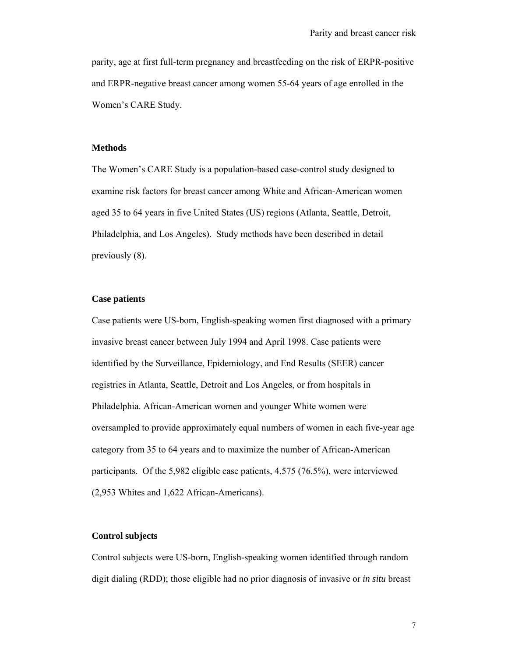parity, age at first full-term pregnancy and breastfeeding on the risk of ERPR-positive and ERPR-negative breast cancer among women 55-64 years of age enrolled in the Women's CARE Study.

# **Methods**

The Women's CARE Study is a population-based case-control study designed to examine risk factors for breast cancer among White and African-American women aged 35 to 64 years in five United States (US) regions (Atlanta, Seattle, Detroit, Philadelphia, and Los Angeles). Study methods have been described in detail previously (8).

# **Case patients**

Case patients were US-born, English-speaking women first diagnosed with a primary invasive breast cancer between July 1994 and April 1998. Case patients were identified by the Surveillance, Epidemiology, and End Results (SEER) cancer registries in Atlanta, Seattle, Detroit and Los Angeles, or from hospitals in Philadelphia. African-American women and younger White women were oversampled to provide approximately equal numbers of women in each five-year age category from 35 to 64 years and to maximize the number of African-American participants. Of the 5,982 eligible case patients, 4,575 (76.5%), were interviewed (2,953 Whites and 1,622 African-Americans).

## **Control subjects**

Control subjects were US-born, English-speaking women identified through random digit dialing (RDD); those eligible had no prior diagnosis of invasive or *in situ* breast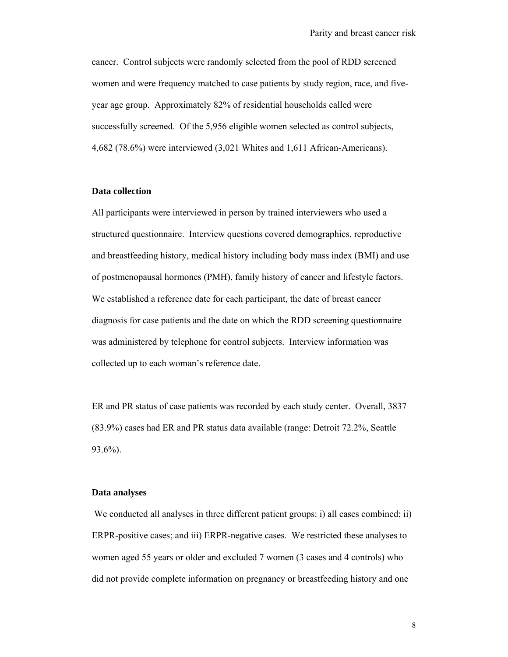cancer. Control subjects were randomly selected from the pool of RDD screened women and were frequency matched to case patients by study region, race, and fiveyear age group. Approximately 82% of residential households called were successfully screened. Of the 5,956 eligible women selected as control subjects, 4,682 (78.6%) were interviewed (3,021 Whites and 1,611 African-Americans).

# **Data collection**

All participants were interviewed in person by trained interviewers who used a structured questionnaire. Interview questions covered demographics, reproductive and breastfeeding history, medical history including body mass index (BMI) and use of postmenopausal hormones (PMH), family history of cancer and lifestyle factors. We established a reference date for each participant, the date of breast cancer diagnosis for case patients and the date on which the RDD screening questionnaire was administered by telephone for control subjects. Interview information was collected up to each woman's reference date.

ER and PR status of case patients was recorded by each study center. Overall, 3837 (83.9%) cases had ER and PR status data available (range: Detroit 72.2%, Seattle 93.6%).

## **Data analyses**

We conducted all analyses in three different patient groups: i) all cases combined; ii) ERPR-positive cases; and iii) ERPR-negative cases. We restricted these analyses to women aged 55 years or older and excluded 7 women (3 cases and 4 controls) who did not provide complete information on pregnancy or breastfeeding history and one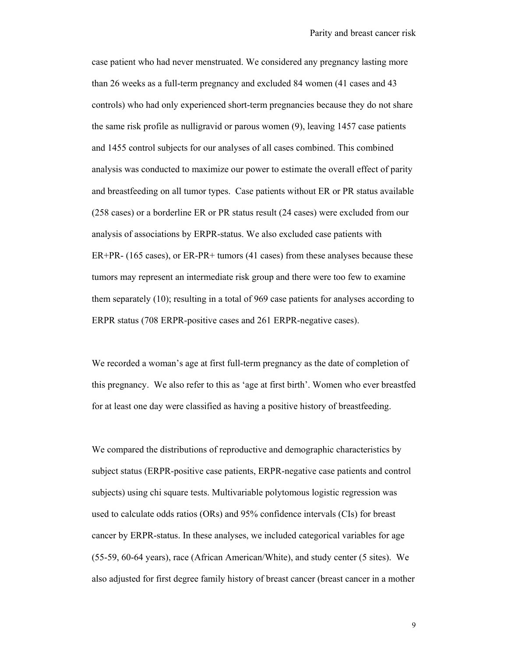case patient who had never menstruated. We considered any pregnancy lasting more than 26 weeks as a full-term pregnancy and excluded 84 women (41 cases and 43 controls) who had only experienced short-term pregnancies because they do not share the same risk profile as nulligravid or parous women (9), leaving 1457 case patients and 1455 control subjects for our analyses of all cases combined. This combined analysis was conducted to maximize our power to estimate the overall effect of parity and breastfeeding on all tumor types. Case patients without ER or PR status available (258 cases) or a borderline ER or PR status result (24 cases) were excluded from our analysis of associations by ERPR-status. We also excluded case patients with ER+PR- (165 cases), or ER-PR+ tumors (41 cases) from these analyses because these tumors may represent an intermediate risk group and there were too few to examine them separately (10); resulting in a total of 969 case patients for analyses according to ERPR status (708 ERPR-positive cases and 261 ERPR-negative cases).

We recorded a woman's age at first full-term pregnancy as the date of completion of this pregnancy. We also refer to this as 'age at first birth'. Women who ever breastfed for at least one day were classified as having a positive history of breastfeeding.

We compared the distributions of reproductive and demographic characteristics by subject status (ERPR-positive case patients, ERPR-negative case patients and control subjects) using chi square tests. Multivariable polytomous logistic regression was used to calculate odds ratios (ORs) and 95% confidence intervals (CIs) for breast cancer by ERPR-status. In these analyses, we included categorical variables for age (55-59, 60-64 years), race (African American/White), and study center (5 sites). We also adjusted for first degree family history of breast cancer (breast cancer in a mother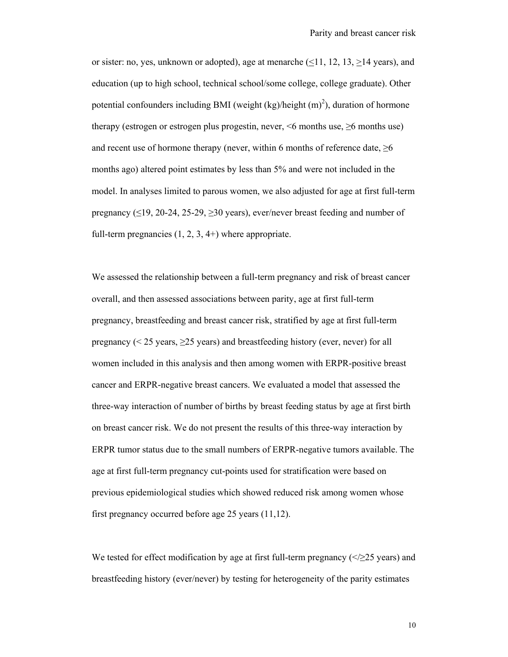or sister: no, yes, unknown or adopted), age at menarche  $(1, 12, 13, 14, 14)$ education (up to high school, technical school/some college, college graduate). Other potential confounders including BMI (weight  $(kg)/\text{height (m)}^2$ ), duration of hormone therapy (estrogen or estrogen plus progestin, never,  $\leq$ 6 months use) and recent use of hormone therapy (never, within 6 months of reference date,  $\geq 6$ months ago) altered point estimates by less than 5% and were not included in the model. In analyses limited to parous women, we also adjusted for age at first full-term pregnancy  $(\leq 19, 20-24, 25-29, \geq 30$  years), ever/never breast feeding and number of full-term pregnancies  $(1, 2, 3, 4+)$  where appropriate.

We assessed the relationship between a full-term pregnancy and risk of breast cancer overall, and then assessed associations between parity, age at first full-term pregnancy, breastfeeding and breast cancer risk, stratified by age at first full-term pregnancy ( $\leq$  25 years,  $\geq$  25 years) and breastfeeding history (ever, never) for all women included in this analysis and then among women with ERPR-positive breast cancer and ERPR-negative breast cancers. We evaluated a model that assessed the three-way interaction of number of births by breast feeding status by age at first birth on breast cancer risk. We do not present the results of this three-way interaction by ERPR tumor status due to the small numbers of ERPR-negative tumors available. The age at first full-term pregnancy cut-points used for stratification were based on previous epidemiological studies which showed reduced risk among women whose first pregnancy occurred before age 25 years (11,12).

We tested for effect modification by age at first full-term pregnancy ( $\leq$   $\geq$  25 years) and breastfeeding history (ever/never) by testing for heterogeneity of the parity estimates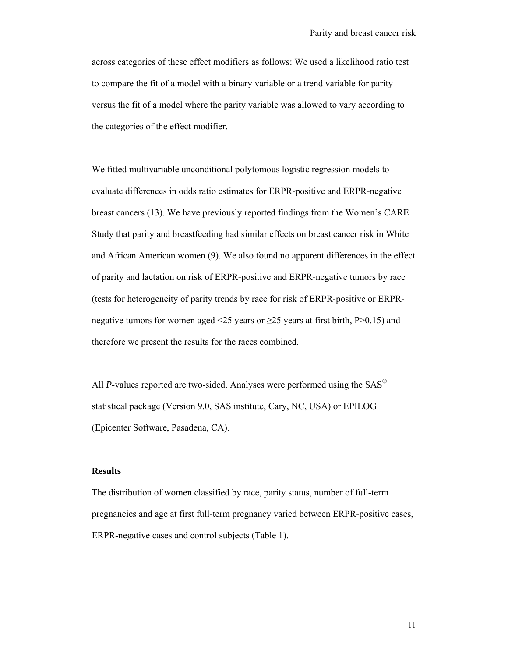across categories of these effect modifiers as follows: We used a likelihood ratio test to compare the fit of a model with a binary variable or a trend variable for parity versus the fit of a model where the parity variable was allowed to vary according to the categories of the effect modifier.

We fitted multivariable unconditional polytomous logistic regression models to evaluate differences in odds ratio estimates for ERPR-positive and ERPR-negative breast cancers (13). We have previously reported findings from the Women's CARE Study that parity and breastfeeding had similar effects on breast cancer risk in White and African American women (9). We also found no apparent differences in the effect of parity and lactation on risk of ERPR-positive and ERPR-negative tumors by race (tests for heterogeneity of parity trends by race for risk of ERPR-positive or ERPRnegative tumors for women aged <25 years or  $\geq$ 25 years at first birth, P>0.15) and therefore we present the results for the races combined.

All *P*-values reported are two-sided. Analyses were performed using the SAS<sup>®</sup> statistical package (Version 9.0, SAS institute, Cary, NC, USA) or EPILOG (Epicenter Software, Pasadena, CA).

## **Results**

The distribution of women classified by race, parity status, number of full-term pregnancies and age at first full-term pregnancy varied between ERPR-positive cases, ERPR-negative cases and control subjects (Table 1).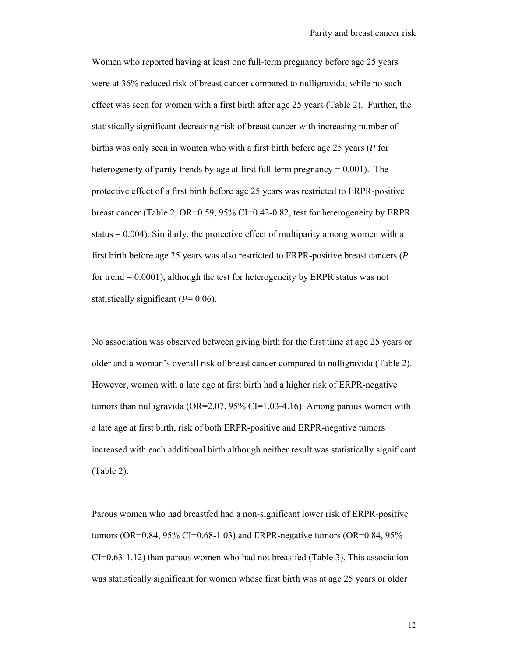Women who reported having at least one full-term pregnancy before age 25 years were at 36% reduced risk of breast cancer compared to nulligravida, while no such effect was seen for women with a first birth after age 25 years (Table 2). Further, the statistically significant decreasing risk of breast cancer with increasing number of births was only seen in women who with a first birth before age 25 years (*P* for heterogeneity of parity trends by age at first full-term pregnancy  $= 0.001$ ). The protective effect of a first birth before age 25 years was restricted to ERPR-positive breast cancer (Table 2, OR=0.59, 95% CI=0.42-0.82, test for heterogeneity by ERPR status  $= 0.004$ ). Similarly, the protective effect of multiparity among women with a first birth before age 25 years was also restricted to ERPR-positive breast cancers (*P* for trend  $= 0.0001$ ), although the test for heterogeneity by ERPR status was not statistically significant (*P*= 0.06).

No association was observed between giving birth for the first time at age 25 years or older and a woman's overall risk of breast cancer compared to nulligravida (Table 2). However, women with a late age at first birth had a higher risk of ERPR-negative tumors than nulligravida (OR=2.07, 95% CI=1.03-4.16). Among parous women with a late age at first birth, risk of both ERPR-positive and ERPR-negative tumors increased with each additional birth although neither result was statistically significant (Table 2).

Parous women who had breastfed had a non-significant lower risk of ERPR-positive tumors (OR=0.84, 95% CI=0.68-1.03) and ERPR-negative tumors (OR=0.84, 95%)  $CI=0.63-1.12$ ) than parous women who had not breastfed (Table 3). This association was statistically significant for women whose first birth was at age 25 years or older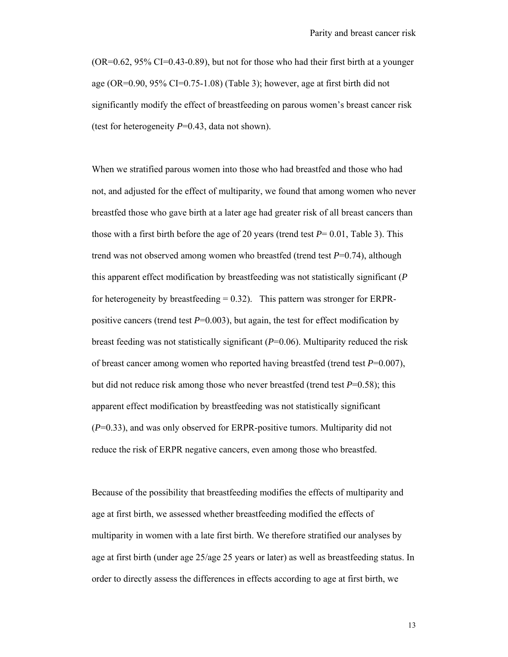$(OR=0.62, 95\% \text{ CI}=0.43-0.89)$ , but not for those who had their first birth at a younger age (OR=0.90, 95% CI=0.75-1.08) (Table 3); however, age at first birth did not significantly modify the effect of breastfeeding on parous women's breast cancer risk (test for heterogeneity *P*=0.43, data not shown).

When we stratified parous women into those who had breastfed and those who had not, and adjusted for the effect of multiparity, we found that among women who never breastfed those who gave birth at a later age had greater risk of all breast cancers than those with a first birth before the age of 20 years (trend test  $P = 0.01$ , Table 3). This trend was not observed among women who breastfed (trend test *P*=0.74), although this apparent effect modification by breastfeeding was not statistically significant (*P* for heterogeneity by breastfeeding  $= 0.32$ ). This pattern was stronger for ERPRpositive cancers (trend test *P*=0.003), but again, the test for effect modification by breast feeding was not statistically significant (*P*=0.06). Multiparity reduced the risk of breast cancer among women who reported having breastfed (trend test *P*=0.007), but did not reduce risk among those who never breastfed (trend test *P*=0.58); this apparent effect modification by breastfeeding was not statistically significant (*P*=0.33), and was only observed for ERPR-positive tumors. Multiparity did not reduce the risk of ERPR negative cancers, even among those who breastfed.

Because of the possibility that breastfeeding modifies the effects of multiparity and age at first birth, we assessed whether breastfeeding modified the effects of multiparity in women with a late first birth. We therefore stratified our analyses by age at first birth (under age 25/age 25 years or later) as well as breastfeeding status. In order to directly assess the differences in effects according to age at first birth, we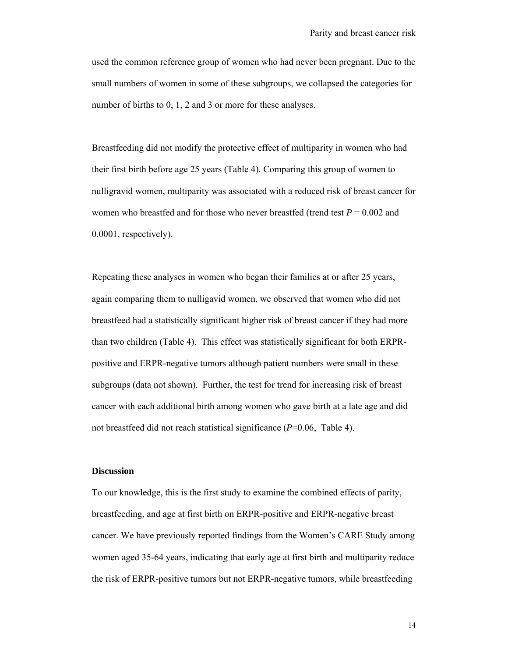used the common reference group of women who had never been pregnant. Due to the small numbers of women in some of these subgroups, we collapsed the categories for number of births to 0, 1, 2 and 3 or more for these analyses.

Breastfeeding did not modify the protective effect of multiparity in women who had their first birth before age 25 years (Table 4). Comparing this group of women to nulligravid women, multiparity was associated with a reduced risk of breast cancer for women who breastfed and for those who never breastfed (trend test *P* = 0.002 and 0.0001, respectively).

Repeating these analyses in women who began their families at or after 25 years, again comparing them to nulligavid women, we observed that women who did not breastfeed had a statistically significant higher risk of breast cancer if they had more than two children (Table 4). This effect was statistically significant for both ERPRpositive and ERPR-negative tumors although patient numbers were small in these subgroups (data not shown). Further, the test for trend for increasing risk of breast cancer with each additional birth among women who gave birth at a late age and did not breastfeed did not reach statistical significance (*P*=0.06, Table 4).

### **Discussion**

To our knowledge, this is the first study to examine the combined effects of parity, breastfeeding, and age at first birth on ERPR-positive and ERPR-negative breast cancer. We have previously reported findings from the Women's CARE Study among women aged 35-64 years, indicating that early age at first birth and multiparity reduce the risk of ERPR-positive tumors but not ERPR-negative tumors, while breastfeeding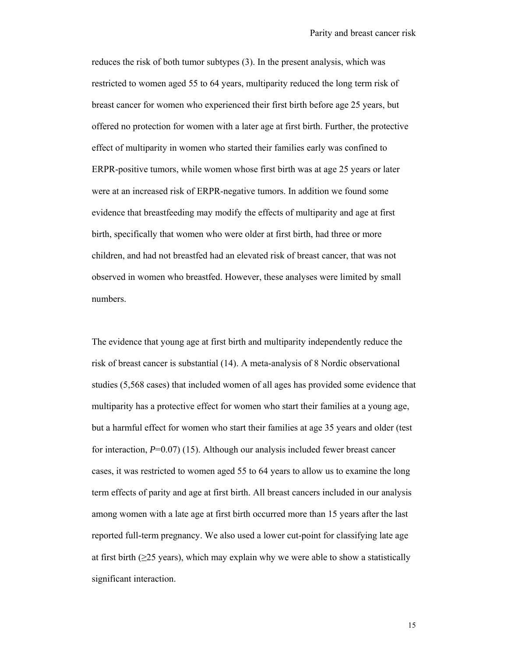reduces the risk of both tumor subtypes (3). In the present analysis, which was restricted to women aged 55 to 64 years, multiparity reduced the long term risk of breast cancer for women who experienced their first birth before age 25 years, but offered no protection for women with a later age at first birth. Further, the protective effect of multiparity in women who started their families early was confined to ERPR-positive tumors, while women whose first birth was at age 25 years or later were at an increased risk of ERPR-negative tumors. In addition we found some evidence that breastfeeding may modify the effects of multiparity and age at first birth, specifically that women who were older at first birth, had three or more children, and had not breastfed had an elevated risk of breast cancer, that was not observed in women who breastfed. However, these analyses were limited by small numbers.

The evidence that young age at first birth and multiparity independently reduce the risk of breast cancer is substantial (14). A meta-analysis of 8 Nordic observational studies (5,568 cases) that included women of all ages has provided some evidence that multiparity has a protective effect for women who start their families at a young age, but a harmful effect for women who start their families at age 35 years and older (test for interaction, *P*=0.07) (15). Although our analysis included fewer breast cancer cases, it was restricted to women aged 55 to 64 years to allow us to examine the long term effects of parity and age at first birth. All breast cancers included in our analysis among women with a late age at first birth occurred more than 15 years after the last reported full-term pregnancy. We also used a lower cut-point for classifying late age at first birth ( $\geq$ 25 years), which may explain why we were able to show a statistically significant interaction.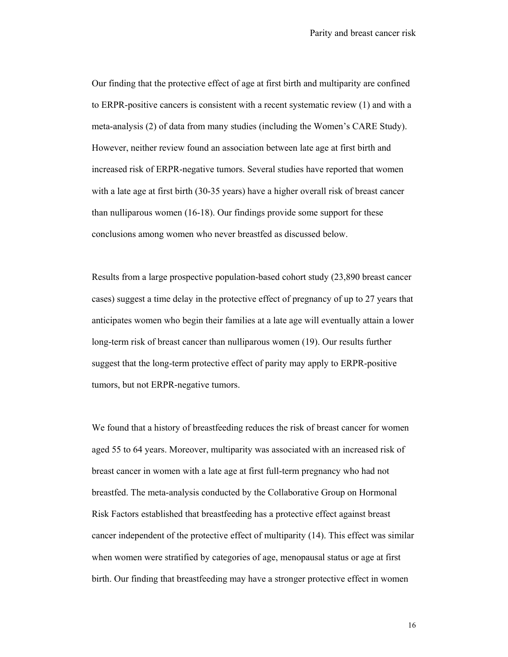Our finding that the protective effect of age at first birth and multiparity are confined to ERPR-positive cancers is consistent with a recent systematic review (1) and with a meta-analysis (2) of data from many studies (including the Women's CARE Study). However, neither review found an association between late age at first birth and increased risk of ERPR-negative tumors. Several studies have reported that women with a late age at first birth (30-35 years) have a higher overall risk of breast cancer than nulliparous women (16-18). Our findings provide some support for these conclusions among women who never breastfed as discussed below.

Results from a large prospective population-based cohort study (23,890 breast cancer cases) suggest a time delay in the protective effect of pregnancy of up to 27 years that anticipates women who begin their families at a late age will eventually attain a lower long-term risk of breast cancer than nulliparous women (19). Our results further suggest that the long-term protective effect of parity may apply to ERPR-positive tumors, but not ERPR-negative tumors.

We found that a history of breastfeeding reduces the risk of breast cancer for women aged 55 to 64 years. Moreover, multiparity was associated with an increased risk of breast cancer in women with a late age at first full-term pregnancy who had not breastfed. The meta-analysis conducted by the Collaborative Group on Hormonal Risk Factors established that breastfeeding has a protective effect against breast cancer independent of the protective effect of multiparity (14). This effect was similar when women were stratified by categories of age, menopausal status or age at first birth. Our finding that breastfeeding may have a stronger protective effect in women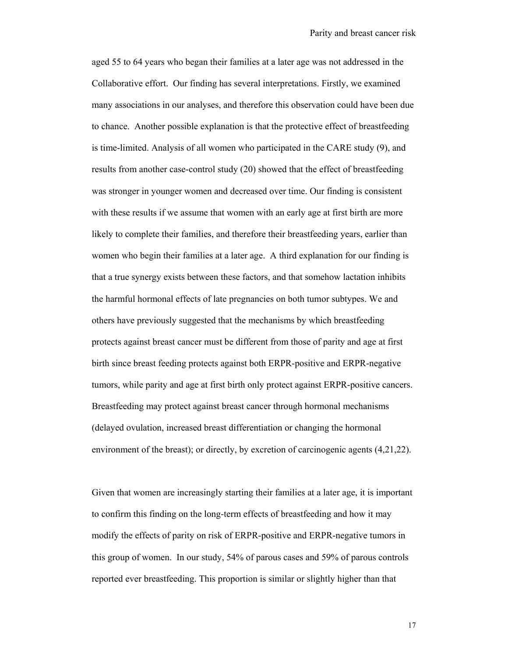aged 55 to 64 years who began their families at a later age was not addressed in the Collaborative effort. Our finding has several interpretations. Firstly, we examined many associations in our analyses, and therefore this observation could have been due to chance. Another possible explanation is that the protective effect of breastfeeding is time-limited. Analysis of all women who participated in the CARE study (9), and results from another case-control study (20) showed that the effect of breastfeeding was stronger in younger women and decreased over time. Our finding is consistent with these results if we assume that women with an early age at first birth are more likely to complete their families, and therefore their breastfeeding years, earlier than women who begin their families at a later age. A third explanation for our finding is that a true synergy exists between these factors, and that somehow lactation inhibits the harmful hormonal effects of late pregnancies on both tumor subtypes. We and others have previously suggested that the mechanisms by which breastfeeding protects against breast cancer must be different from those of parity and age at first birth since breast feeding protects against both ERPR-positive and ERPR-negative tumors, while parity and age at first birth only protect against ERPR-positive cancers. Breastfeeding may protect against breast cancer through hormonal mechanisms (delayed ovulation, increased breast differentiation or changing the hormonal environment of the breast); or directly, by excretion of carcinogenic agents (4,21,22).

Given that women are increasingly starting their families at a later age, it is important to confirm this finding on the long-term effects of breastfeeding and how it may modify the effects of parity on risk of ERPR-positive and ERPR-negative tumors in this group of women. In our study, 54% of parous cases and 59% of parous controls reported ever breastfeeding. This proportion is similar or slightly higher than that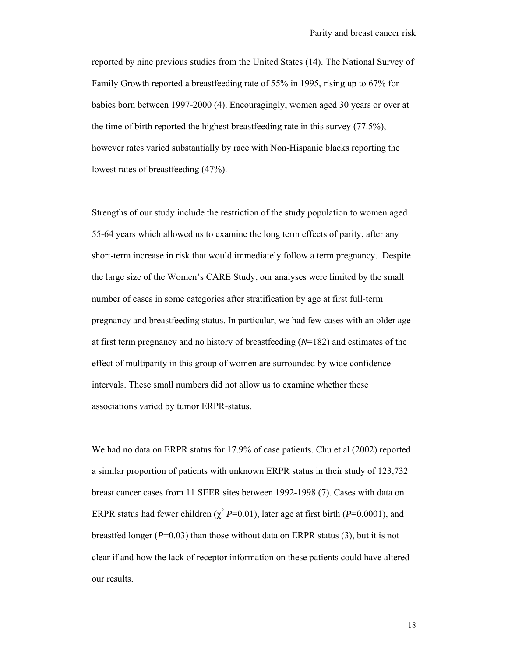reported by nine previous studies from the United States (14). The National Survey of Family Growth reported a breastfeeding rate of 55% in 1995, rising up to 67% for babies born between 1997-2000 (4). Encouragingly, women aged 30 years or over at the time of birth reported the highest breastfeeding rate in this survey (77.5%), however rates varied substantially by race with Non-Hispanic blacks reporting the lowest rates of breastfeeding (47%).

Strengths of our study include the restriction of the study population to women aged 55-64 years which allowed us to examine the long term effects of parity, after any short-term increase in risk that would immediately follow a term pregnancy. Despite the large size of the Women's CARE Study, our analyses were limited by the small number of cases in some categories after stratification by age at first full-term pregnancy and breastfeeding status. In particular, we had few cases with an older age at first term pregnancy and no history of breastfeeding (*N*=182) and estimates of the effect of multiparity in this group of women are surrounded by wide confidence intervals. These small numbers did not allow us to examine whether these associations varied by tumor ERPR-status.

We had no data on ERPR status for 17.9% of case patients. Chu et al (2002) reported a similar proportion of patients with unknown ERPR status in their study of 123,732 breast cancer cases from 11 SEER sites between 1992-1998 (7). Cases with data on ERPR status had fewer children ( $\chi^2$  *P*=0.01), later age at first birth (*P*=0.0001), and breastfed longer (*P*=0.03) than those without data on ERPR status (3), but it is not clear if and how the lack of receptor information on these patients could have altered our results.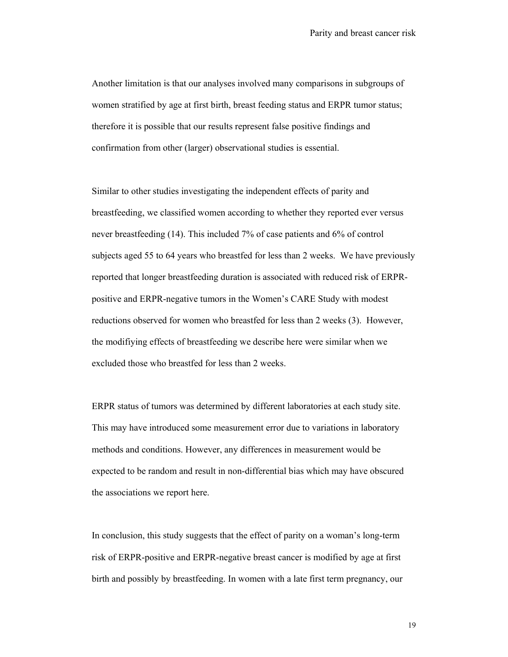Another limitation is that our analyses involved many comparisons in subgroups of women stratified by age at first birth, breast feeding status and ERPR tumor status; therefore it is possible that our results represent false positive findings and confirmation from other (larger) observational studies is essential.

Similar to other studies investigating the independent effects of parity and breastfeeding, we classified women according to whether they reported ever versus never breastfeeding (14). This included 7% of case patients and 6% of control subjects aged 55 to 64 years who breastfed for less than 2 weeks. We have previously reported that longer breastfeeding duration is associated with reduced risk of ERPRpositive and ERPR-negative tumors in the Women's CARE Study with modest reductions observed for women who breastfed for less than 2 weeks (3). However, the modifiying effects of breastfeeding we describe here were similar when we excluded those who breastfed for less than 2 weeks.

ERPR status of tumors was determined by different laboratories at each study site. This may have introduced some measurement error due to variations in laboratory methods and conditions. However, any differences in measurement would be expected to be random and result in non-differential bias which may have obscured the associations we report here.

In conclusion, this study suggests that the effect of parity on a woman's long-term risk of ERPR-positive and ERPR-negative breast cancer is modified by age at first birth and possibly by breastfeeding. In women with a late first term pregnancy, our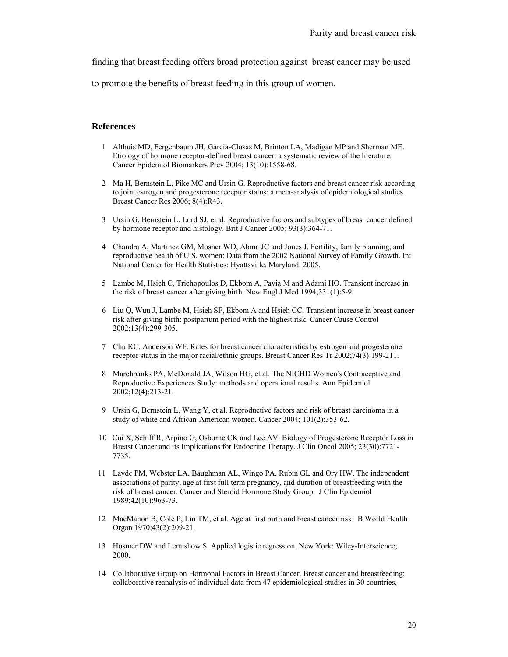finding that breast feeding offers broad protection against breast cancer may be used

to promote the benefits of breast feeding in this group of women.

### **References**

- 1 Althuis MD, Fergenbaum JH, Garcia-Closas M, Brinton LA, Madigan MP and Sherman ME. Etiology of hormone receptor-defined breast cancer: a systematic review of the literature. Cancer Epidemiol Biomarkers Prev 2004; 13(10):1558-68.
- 2 Ma H, Bernstein L, Pike MC and Ursin G. Reproductive factors and breast cancer risk according to joint estrogen and progesterone receptor status: a meta-analysis of epidemiological studies. Breast Cancer Res 2006; 8(4):R43.
- 3 Ursin G, Bernstein L, Lord SJ, et al. Reproductive factors and subtypes of breast cancer defined by hormone receptor and histology. Brit J Cancer 2005; 93(3):364-71.
- 4 Chandra A, Martinez GM, Mosher WD, Abma JC and Jones J. Fertility, family planning, and reproductive health of U.S. women: Data from the 2002 National Survey of Family Growth. In: National Center for Health Statistics: Hyattsville, Maryland, 2005.
- 5 Lambe M, Hsieh C, Trichopoulos D, Ekbom A, Pavia M and Adami HO. Transient increase in the risk of breast cancer after giving birth. New Engl J Med 1994;331(1):5-9.
- 6 Liu Q, Wuu J, Lambe M, Hsieh SF, Ekbom A and Hsieh CC. Transient increase in breast cancer risk after giving birth: postpartum period with the highest risk. Cancer Cause Control 2002;13(4):299-305.
- 7 Chu KC, Anderson WF. Rates for breast cancer characteristics by estrogen and progesterone receptor status in the major racial/ethnic groups. Breast Cancer Res Tr 2002;74(3):199-211.
- 8 Marchbanks PA, McDonald JA, Wilson HG, et al. The NICHD Women's Contraceptive and Reproductive Experiences Study: methods and operational results. Ann Epidemiol 2002;12(4):213-21.
- 9 Ursin G, Bernstein L, Wang Y, et al. Reproductive factors and risk of breast carcinoma in a study of white and African-American women. Cancer 2004; 101(2):353-62.
- 10 Cui X, Schiff R, Arpino G, Osborne CK and Lee AV. Biology of Progesterone Receptor Loss in Breast Cancer and its Implications for Endocrine Therapy. J Clin Oncol 2005; 23(30):7721- 7735.
- 11 Layde PM, Webster LA, Baughman AL, Wingo PA, Rubin GL and Ory HW. The independent associations of parity, age at first full term pregnancy, and duration of breastfeeding with the risk of breast cancer. Cancer and Steroid Hormone Study Group. J Clin Epidemiol 1989;42(10):963-73.
- 12 MacMahon B, Cole P, Lin TM, et al. Age at first birth and breast cancer risk. B World Health Organ 1970;43(2):209-21.
- 13 Hosmer DW and Lemishow S. Applied logistic regression. New York: Wiley-Interscience; 2000.
- 14 Collaborative Group on Hormonal Factors in Breast Cancer. Breast cancer and breastfeeding: collaborative reanalysis of individual data from 47 epidemiological studies in 30 countries,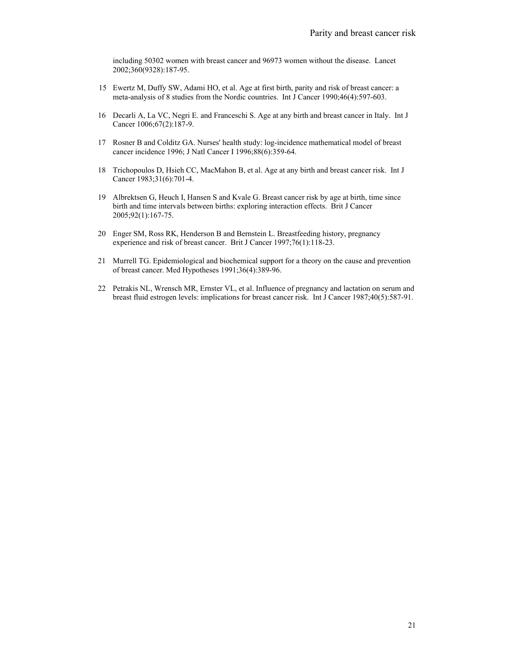including 50302 women with breast cancer and 96973 women without the disease. Lancet 2002;360(9328):187-95.

- 15 Ewertz M, Duffy SW, Adami HO, et al. Age at first birth, parity and risk of breast cancer: a meta-analysis of 8 studies from the Nordic countries. Int J Cancer 1990;46(4):597-603.
- 16 Decarli A, La VC, Negri E. and Franceschi S. Age at any birth and breast cancer in Italy. Int J Cancer 1006;67(2):187-9.
- 17 Rosner B and Colditz GA. Nurses' health study: log-incidence mathematical model of breast cancer incidence 1996; J Natl Cancer I 1996;88(6):359-64.
- 18 Trichopoulos D, Hsieh CC, MacMahon B, et al. Age at any birth and breast cancer risk. Int J Cancer 1983;31(6):701-4.
- 19 Albrektsen G, Heuch I, Hansen S and Kvale G. Breast cancer risk by age at birth, time since birth and time intervals between births: exploring interaction effects. Brit J Cancer 2005;92(1):167-75.
- 20 Enger SM, Ross RK, Henderson B and Bernstein L. Breastfeeding history, pregnancy experience and risk of breast cancer. Brit J Cancer 1997;76(1):118-23.
- 21 Murrell TG. Epidemiological and biochemical support for a theory on the cause and prevention of breast cancer. Med Hypotheses 1991;36(4):389-96.
- 22 Petrakis NL, Wrensch MR, Ernster VL, et al. Influence of pregnancy and lactation on serum and breast fluid estrogen levels: implications for breast cancer risk. Int J Cancer 1987;40(5):587-91.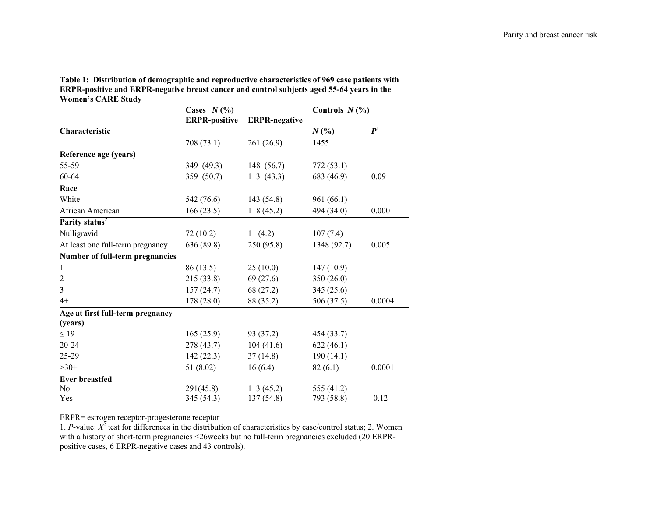**Table 1: Distribution of demographic and reproductive characteristics of 969 case patients with ERPR-positive and ERPR-negative breast cancer and control subjects aged 55-64 years in the Women's CARE Study** 

|                                  | Cases $N(\%)$        |                      | Controls $N(\%)$ |                    |  |
|----------------------------------|----------------------|----------------------|------------------|--------------------|--|
|                                  | <b>ERPR-positive</b> | <b>ERPR-negative</b> |                  |                    |  |
| Characteristic                   |                      |                      | $N($ % $)$       | $\boldsymbol{P}^1$ |  |
|                                  | 708 (73.1)           | 261 (26.9)           | 1455             |                    |  |
| Reference age (years)            |                      |                      |                  |                    |  |
| 55-59                            | 349 (49.3)           | 148 (56.7)           | 772(53.1)        |                    |  |
| 60-64                            | 359 (50.7)           | 113(43.3)            | 683 (46.9)       | 0.09               |  |
| Race                             |                      |                      |                  |                    |  |
| White                            | 542 (76.6)           | 143 (54.8)           | 961(66.1)        |                    |  |
| African American                 | 166(23.5)            | 118 (45.2)           | 494 (34.0)       | 0.0001             |  |
| Parity status <sup>2</sup>       |                      |                      |                  |                    |  |
| Nulligravid                      | 72(10.2)             | 11(4.2)              | 107(7.4)         |                    |  |
| At least one full-term pregnancy | 636 (89.8)           | 250 (95.8)           | 1348 (92.7)      | 0.005              |  |
| Number of full-term pregnancies  |                      |                      |                  |                    |  |
| $\mathbf{1}$                     | 86 (13.5)            | 25(10.0)             | 147(10.9)        |                    |  |
| $\overline{2}$                   | 215 (33.8)           | 69(27.6)             | 350 (26.0)       |                    |  |
| $\overline{3}$                   | 157(24.7)            | 68 (27.2)            | 345 (25.6)       |                    |  |
| $4+$                             | 178 (28.0)           | 88 (35.2)            | 506 (37.5)       | 0.0004             |  |
| Age at first full-term pregnancy |                      |                      |                  |                    |  |
| (years)                          |                      |                      |                  |                    |  |
| $\leq$ 19                        | 165(25.9)            | 93 (37.2)            | 454 (33.7)       |                    |  |
| 20-24                            | 278 (43.7)           | 104(41.6)            | 622(46.1)        |                    |  |
| 25-29                            | 142(22.3)            | 37(14.8)             | 190(14.1)        |                    |  |
| $>30+$                           | 51(8.02)             | 16(6.4)              | 82(6.1)          | 0.0001             |  |
| <b>Ever breastfed</b>            |                      |                      |                  |                    |  |
| No                               | 291(45.8)            | 113(45.2)            | 555 (41.2)       |                    |  |
| Yes                              | 345 (54.3)           | 137 (54.8)           | 793 (58.8)       | 0.12               |  |

ERPR= estrogen receptor-progesterone receptor

1. *P*-value: *Χ*<sup>2</sup> test for differences in the distribution of characteristics by case/control status; 2. Women with a history of short-term pregnancies <26weeks but no full-term pregnancies excluded (20 ERPRpositive cases, 6 ERPR-negative cases and 43 controls).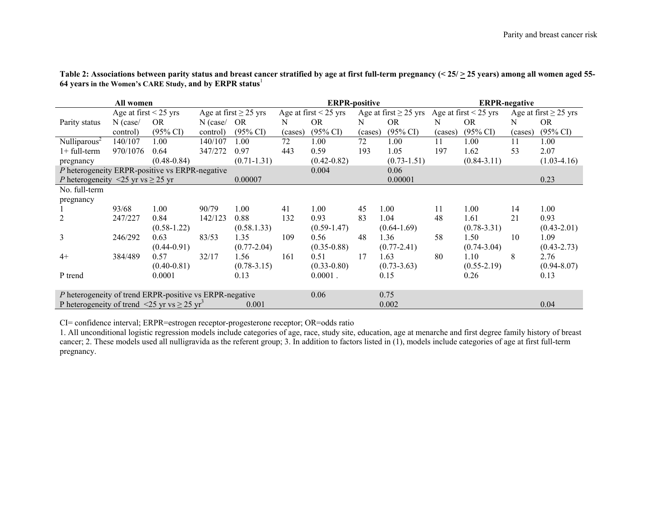|                                                                                        | All women                  |                     |            |                            |         | <b>ERPR-positive</b>       |         |                                                  |         | <b>ERPR-negative</b> |         |                            |
|----------------------------------------------------------------------------------------|----------------------------|---------------------|------------|----------------------------|---------|----------------------------|---------|--------------------------------------------------|---------|----------------------|---------|----------------------------|
|                                                                                        | Age at first $\leq$ 25 yrs |                     |            | Age at first $\geq$ 25 yrs |         | Age at first $\leq$ 25 yrs |         | Age at first $\geq$ 25 yrs Age at first < 25 yrs |         |                      |         | Age at first $\geq$ 25 yrs |
| Parity status                                                                          | $N$ (case/                 | OR.                 | $N$ (case/ | OR.                        | N       | <b>OR</b>                  | N       | <b>OR</b>                                        | N       | <b>OR</b>            | N       | OR.                        |
|                                                                                        | control)                   | $(95\% \text{ CI})$ | control)   | $(95\% \text{ CI})$        | (cases) | $(95\% \text{ CI})$        | (cases) | $(95\% \text{ CI})$                              | (cases) | $(95\% \text{ CI})$  | (cases) | $(95\% \text{ CI})$        |
| Nulliparous                                                                            | 140/107                    | 1.00                | 140/107    | 1.00                       | 72      | 1.00                       | 72      | $1.00\,$                                         | 11      | 1.00                 | 11      | 1.00                       |
| $1+$ full-term                                                                         | 970/1076                   | 0.64                | 347/272    | 0.97                       | 443     | 0.59                       | 193     | 1.05                                             | 197     | 1.62                 | 53      | 2.07                       |
| pregnancy                                                                              |                            | $(0.48 - 0.84)$     |            | $(0.71 - 1.31)$            |         | $(0.42 - 0.82)$            |         | $(0.73 - 1.51)$                                  |         | $(0.84 - 3.11)$      |         | $(1.03-4.16)$              |
| P heterogeneity ERPR-positive vs ERPR-negative                                         |                            |                     |            |                            |         | 0.004                      |         | 0.06                                             |         |                      |         |                            |
| <i>P</i> heterogeneity <25 yr vs $\geq$ 25 yr                                          |                            |                     |            | 0.00007                    |         |                            |         | 0.00001                                          |         |                      |         | 0.23                       |
| No. full-term                                                                          |                            |                     |            |                            |         |                            |         |                                                  |         |                      |         |                            |
| pregnancy                                                                              |                            |                     |            |                            |         |                            |         |                                                  |         |                      |         |                            |
|                                                                                        | 93/68                      | 1.00                | 90/79      | 1.00                       | 41      | 1.00                       | 45      | 1.00                                             | 11      | 1.00                 | 14      | 1.00                       |
| 2                                                                                      | 247/227                    | 0.84                | 142/123    | 0.88                       | 132     | 0.93                       | 83      | 1.04                                             | 48      | 1.61                 | 21      | 0.93                       |
|                                                                                        |                            | $(0.58 - 1.22)$     |            | (0.58.1.33)                |         | $(0.59 - 1.47)$            |         | $(0.64 - 1.69)$                                  |         | $(0.78 - 3.31)$      |         | $(0.43 - 2.01)$            |
| 3                                                                                      | 246/292                    | 0.63                | 83/53      | 1.35                       | 109     | 0.56                       | 48      | 1.36                                             | 58      | 1.50                 | 10      | 1.09                       |
|                                                                                        |                            | $(0.44 - 0.91)$     |            | $(0.77 - 2.04)$            |         | $(0.35 - 0.88)$            |         | $(0.77 - 2.41)$                                  |         | $(0.74 - 3.04)$      |         | $(0.43 - 2.73)$            |
| $4+$                                                                                   | 384/489                    | 0.57                | 32/17      | 1.56                       | 161     | 0.51                       | 17      | 1.63                                             | 80      | 1.10                 | 8       | 2.76                       |
|                                                                                        |                            | $(0.40 - 0.81)$     |            | $(0.78 - 3.15)$            |         | $(0.33 - 0.80)$            |         | $(0.73 - 3.63)$                                  |         | $(0.55 - 2.19)$      |         | $(0.94 - 8.07)$            |
| P trend                                                                                |                            | 0.0001              |            | 0.13                       |         | $0.0001$ .                 |         | 0.15                                             |         | 0.26                 |         | 0.13                       |
|                                                                                        |                            |                     |            |                            |         |                            |         |                                                  |         |                      |         |                            |
| P heterogeneity of trend ERPR-positive vs ERPR-negative<br>0.06<br>0.75                |                            |                     |            |                            |         |                            |         |                                                  |         |                      |         |                            |
| P heterogeneity of trend <25 yr vs $\geq$ 25 yr <sup>3</sup><br>0.001<br>0.002<br>0.04 |                            |                     |            |                            |         |                            |         |                                                  |         |                      |         |                            |

Table 2: Associations between parity status and breast cancer stratified by age at first full-term pregnancy (<  $25/ \ge 25$  years) among all women aged 55-**64 years in the Women's CARE Study, and by ERPR status**<sup>1</sup>

CI= confidence interval; ERPR=estrogen receptor-progesterone receptor; OR=odds ratio

1. All unconditional logistic regression models include categories of age, race, study site, education, age at menarche and first degree family history of breast cancer; 2. These models used all nulligravida as the referent group; 3. In addition to factors listed in  $(1)$ , models include categories of age at first full-term pregnancy.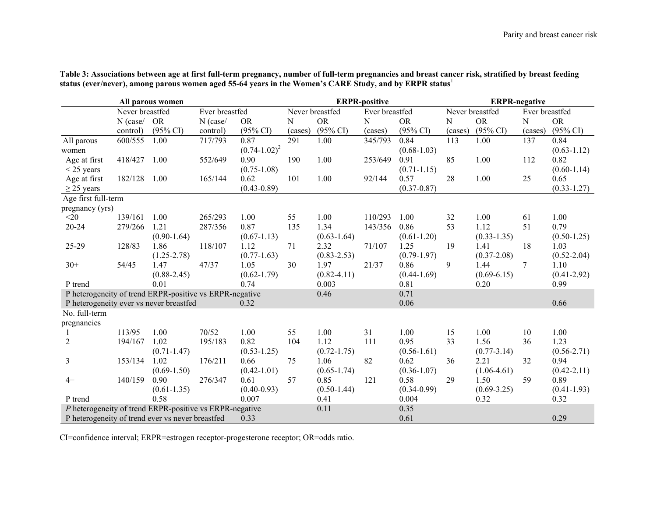| All parous women                                        |                                   |                     | <b>ERPR-positive</b> |                                   |         | <b>ERPR-negative</b> |         |                     |         |                     |                |                     |
|---------------------------------------------------------|-----------------------------------|---------------------|----------------------|-----------------------------------|---------|----------------------|---------|---------------------|---------|---------------------|----------------|---------------------|
|                                                         | Never breastfed<br>Ever breastfed |                     |                      | Never breastfed<br>Ever breastfed |         |                      |         | Never breastfed     |         |                     | Ever breastfed |                     |
|                                                         | $N$ (case/                        | <b>OR</b>           | $N$ (case/           | <b>OR</b>                         | N       | <b>OR</b>            | N       | <b>OR</b>           | N       | <b>OR</b>           | N              | <b>OR</b>           |
|                                                         | control)                          | $(95\% \text{ CI})$ | control)             | $(95\% \text{ CI})$               | (cases) | $(95\% \text{ CI})$  | (cases) | $(95\% \text{ CI})$ | (cases) | $(95\% \text{ CI})$ | (cases)        | $(95\% \text{ CI})$ |
| All parous                                              | 600/555                           | 1.00                | 717/793              | 0.87                              | 291     | 1.00                 | 345/793 | 0.84                | 113     | 1.00                | 137            | 0.84                |
| women                                                   |                                   |                     |                      | $(0.74 - 1.02)^2$                 |         |                      |         | $(0.68 - 1.03)$     |         |                     |                | $(0.63 - 1.12)$     |
| Age at first                                            | 418/427                           | 1.00                | 552/649              | 0.90                              | 190     | 1.00                 | 253/649 | 0.91                | 85      | 1.00                | 112            | 0.82                |
| $<$ 25 years                                            |                                   |                     |                      | $(0.75 - 1.08)$                   |         |                      |         | $(0.71 - 1.15)$     |         |                     |                | $(0.60-1.14)$       |
| Age at first                                            | 182/128                           | 1.00                | 165/144              | 0.62                              | 101     | 1.00                 | 92/144  | 0.57                | 28      | 1.00                | 25             | 0.65                |
| $\geq$ 25 years                                         |                                   |                     |                      | $(0.43 - 0.89)$                   |         |                      |         | $(0.37 - 0.87)$     |         |                     |                | $(0.33 - 1.27)$     |
| Age first full-term                                     |                                   |                     |                      |                                   |         |                      |         |                     |         |                     |                |                     |
| pregnancy (yrs)                                         |                                   |                     |                      |                                   |         |                      |         |                     |         |                     |                |                     |
| $<$ 20                                                  | 139/161                           | 1.00                | 265/293              | 1.00                              | 55      | 1.00                 | 110/293 | 1.00                | 32      | 1.00                | 61             | 1.00                |
| $20 - 24$                                               | 279/266                           | 1.21                | 287/356              | 0.87                              | 135     | 1.34                 | 143/356 | 0.86                | 53      | 1.12                | 51             | 0.79                |
|                                                         |                                   | $(0.90-1.64)$       |                      | $(0.67 - 1.13)$                   |         | $(0.63 - 1.64)$      |         | $(0.61 - 1.20)$     |         | $(0.33 - 1.35)$     |                | $(0.50 - 1.25)$     |
| 25-29                                                   | 128/83                            | 1.86                | 118/107              | 1.12                              | 71      | 2.32                 | 71/107  | 1.25                | 19      | 1.41                | 18             | 1.03                |
|                                                         |                                   | $(1.25 - 2.78)$     |                      | $(0.77-1.63)$                     |         | $(0.83 - 2.53)$      |         | $(0.79-1.97)$       |         | $(0.37 - 2.08)$     |                | $(0.52 - 2.04)$     |
| $30+$                                                   | 54/45                             | 1.47                | 47/37                | 1.05                              | 30      | 1.97                 | 21/37   | 0.86                | 9       | 1.44                | 7              | 1.10                |
|                                                         |                                   | $(0.88 - 2.45)$     |                      | $(0.62 - 1.79)$                   |         | $(0.82 - 4.11)$      |         | $(0.44 - 1.69)$     |         | $(0.69 - 6.15)$     |                | $(0.41 - 2.92)$     |
| P trend                                                 |                                   | 0.01                |                      | 0.74                              |         | 0.003                |         | 0.81                |         | 0.20                |                | 0.99                |
| P heterogeneity of trend ERPR-positive vs ERPR-negative |                                   |                     |                      |                                   |         | 0.46                 |         | 0.71                |         |                     |                |                     |
| P heterogeneity ever vs never breastfed                 |                                   |                     |                      | 0.32                              |         |                      |         | 0.06                |         |                     |                | 0.66                |
| No. full-term                                           |                                   |                     |                      |                                   |         |                      |         |                     |         |                     |                |                     |
| pregnancies                                             |                                   |                     |                      |                                   |         |                      |         |                     |         |                     |                |                     |
|                                                         | 113/95                            | 1.00                | 70/52                | 1.00                              | 55      | 1.00                 | 31      | 1.00                | 15      | 1.00                | 10             | 1.00                |
| $\overline{c}$                                          | 194/167                           | 1.02                | 195/183              | 0.82                              | 104     | 1.12                 | 111     | 0.95                | 33      | 1.56                | 36             | 1.23                |
|                                                         |                                   | $(0.71 - 1.47)$     |                      | $(0.53 - 1.25)$                   |         | $(0.72 - 1.75)$      |         | $(0.56 - 1.61)$     |         | $(0.77 - 3.14)$     |                | $(0.56 - 2.71)$     |
| 3                                                       | 153/134                           | 1.02                | 176/211              | 0.66                              | 75      | 1.06                 | 82      | 0.62                | 36      | 2.21                | 32             | 0.94                |
|                                                         |                                   | $(0.69 - 1.50)$     |                      | $(0.42 - 1.01)$                   |         | $(0.65 - 1.74)$      |         | $(0.36 - 1.07)$     |         | $(1.06-4.61)$       |                | $(0.42 - 2.11)$     |
| $4+$                                                    | 140/159                           | 0.90                | 276/347              | 0.61                              | 57      | 0.85                 | 121     | 0.58                | 29      | 1.50                | 59             | 0.89                |
|                                                         |                                   | $(0.61 - 1.35)$     |                      | $(0.40 - 0.93)$                   |         | $(0.50 - 1.44)$      |         | $(0.34 - 0.99)$     |         | $(0.69 - 3.25)$     |                | $(0.41 - 1.93)$     |
| P trend                                                 |                                   | 0.58                |                      | 0.007                             |         | 0.41                 |         | 0.004               |         | 0.32                |                | 0.32                |
| P heterogeneity of trend ERPR-positive vs ERPR-negative |                                   |                     |                      |                                   |         | 0.11                 |         | 0.35                |         |                     |                |                     |
| P heterogeneity of trend ever vs never breastfed        |                                   |                     |                      | 0.33                              |         |                      |         | 0.61                |         |                     |                | 0.29                |

**Table 3: Associations between age at first full-term pregnancy, number of full-term pregnancies and breast cancer risk, stratified by breast feeding status (ever/never), among parous women aged 55-64 years in the Women's CARE Study, and by ERPR status**<sup>1</sup>

CI=confidence interval; ERPR=estrogen receptor-progesterone receptor; OR=odds ratio.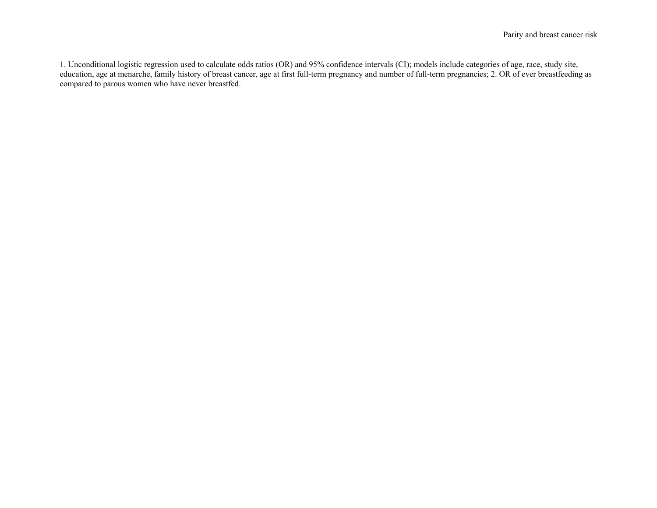1. Unconditional logistic regression used to calculate odds ratios (OR) and 95% confidence intervals (CI); models include categories of age, race, study site, education, age at menarche, family history of breast cancer, age at first full-term pregnancy and number of full-term pregnancies; 2. OR of ever breastfeeding as compared to parous women who have never breastfed.